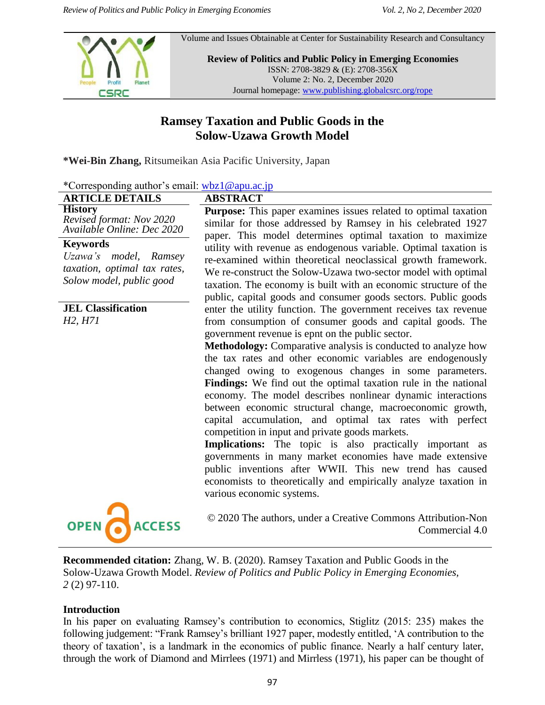

Volume and Issues Obtainable at Center for Sustainability Research and Consultancy

**Review of Politics and Public Policy in Emerging Economies** ISSN: 2708-3829 & (E): 2708-356X Volume 2: No. 2, December 2020 Journal homepage: www.publishing.globalcsrc.org/rope

# **Ramsey Taxation and Public Goods in the Solow-Uzawa Growth Model**

**\*Wei-Bin Zhang,** Ritsumeikan Asia Pacific University, Japan

| *Corresponding author's email: wbz1@apu.ac.jp |  |  |
|-----------------------------------------------|--|--|
|                                               |  |  |

| *Corresponding author's email: <u>wbzI @apu.ac.jp</u>                                                |                                                                                                                                                                                                                                                                                                                                                                                                                                                                                                                                                                                                                                                                                                                                                                                                                                |  |
|------------------------------------------------------------------------------------------------------|--------------------------------------------------------------------------------------------------------------------------------------------------------------------------------------------------------------------------------------------------------------------------------------------------------------------------------------------------------------------------------------------------------------------------------------------------------------------------------------------------------------------------------------------------------------------------------------------------------------------------------------------------------------------------------------------------------------------------------------------------------------------------------------------------------------------------------|--|
| <b>ARTICLE DETAILS</b>                                                                               | <b>ABSTRACT</b>                                                                                                                                                                                                                                                                                                                                                                                                                                                                                                                                                                                                                                                                                                                                                                                                                |  |
| <b>History</b><br>Revised format: Nov 2020<br>Available Online: Dec 2020                             | <b>Purpose:</b> This paper examines issues related to optimal taxation<br>similar for those addressed by Ramsey in his celebrated 1927<br>paper. This model determines optimal taxation to maximize                                                                                                                                                                                                                                                                                                                                                                                                                                                                                                                                                                                                                            |  |
| <b>Keywords</b><br>Uzawa's model, Ramsey<br>taxation, optimal tax rates,<br>Solow model, public good | utility with revenue as endogenous variable. Optimal taxation is<br>re-examined within theoretical neoclassical growth framework.<br>We re-construct the Solow-Uzawa two-sector model with optimal<br>taxation. The economy is built with an economic structure of the<br>public, capital goods and consumer goods sectors. Public goods                                                                                                                                                                                                                                                                                                                                                                                                                                                                                       |  |
| <b>JEL Classification</b><br>H2, H71                                                                 | enter the utility function. The government receives tax revenue<br>from consumption of consumer goods and capital goods. The<br>government revenue is epnt on the public sector.<br><b>Methodology:</b> Comparative analysis is conducted to analyze how<br>the tax rates and other economic variables are endogenously<br>changed owing to exogenous changes in some parameters.<br>Findings: We find out the optimal taxation rule in the national<br>economy. The model describes nonlinear dynamic interactions<br>between economic structural change, macroeconomic growth,<br>capital accumulation, and optimal tax rates with perfect<br>competition in input and private goods markets.<br><b>Implications:</b> The topic is also practically important as<br>governments in many market economies have made extensive |  |
|                                                                                                      | public inventions after WWII. This new trend has caused<br>economists to theoretically and empirically analyze taxation in<br>various economic systems.                                                                                                                                                                                                                                                                                                                                                                                                                                                                                                                                                                                                                                                                        |  |



© 2020 The authors, under a Creative Commons Attribution-Non Commercial 4.0

**Recommended citation:** Zhang, W. B. (2020). Ramsey Taxation and Public Goods in the Solow-Uzawa Growth Model. *Review of Politics and Public Policy in Emerging Economies, 2* (2) 97-110.

## **Introduction**

In his paper on evaluating Ramsey's contribution to economics, Stiglitz (2015: 235) makes the following judgement: "Frank Ramsey's brilliant 1927 paper, modestly entitled, 'A contribution to the theory of taxation", is a landmark in the economics of public finance. Nearly a half century later, through the work of Diamond and Mirrlees (1971) and Mirrless (1971), his paper can be thought of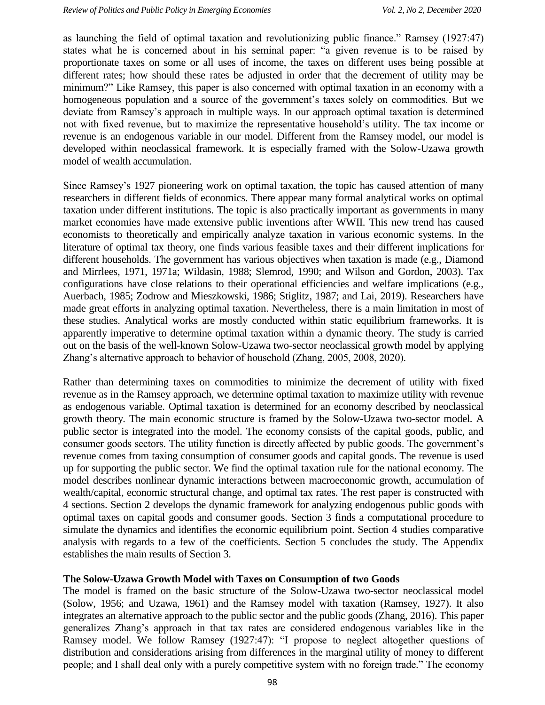as launching the field of optimal taxation and revolutionizing public finance." Ramsey (1927:47) states what he is concerned about in his seminal paper: "a given revenue is to be raised by proportionate taxes on some or all uses of income, the taxes on different uses being possible at different rates; how should these rates be adjusted in order that the decrement of utility may be minimum?" Like Ramsey, this paper is also concerned with optimal taxation in an economy with a homogeneous population and a source of the government's taxes solely on commodities. But we deviate from Ramsey"s approach in multiple ways. In our approach optimal taxation is determined not with fixed revenue, but to maximize the representative household"s utility. The tax income or revenue is an endogenous variable in our model. Different from the Ramsey model, our model is developed within neoclassical framework. It is especially framed with the Solow-Uzawa growth model of wealth accumulation.

Since Ramsey's 1927 pioneering work on optimal taxation, the topic has caused attention of many researchers in different fields of economics. There appear many formal analytical works on optimal taxation under different institutions. The topic is also practically important as governments in many market economies have made extensive public inventions after WWII. This new trend has caused economists to theoretically and empirically analyze taxation in various economic systems. In the literature of optimal tax theory, one finds various feasible taxes and their different implications for different households. The government has various objectives when taxation is made (e.g., Diamond and Mirrlees, 1971, 1971a; Wildasin, 1988; Slemrod, 1990; and Wilson and Gordon, 2003). Tax configurations have close relations to their operational efficiencies and welfare implications (e.g., Auerbach, 1985; Zodrow and Mieszkowski, 1986; Stiglitz, 1987; and Lai, 2019). Researchers have made great efforts in analyzing optimal taxation. Nevertheless, there is a main limitation in most of these studies. Analytical works are mostly conducted within static equilibrium frameworks. It is apparently imperative to determine optimal taxation within a dynamic theory. The study is carried out on the basis of the well-known Solow-Uzawa two-sector neoclassical growth model by applying Zhang's alternative approach to behavior of household (Zhang, 2005, 2008, 2020).

Rather than determining taxes on commodities to minimize the decrement of utility with fixed revenue as in the Ramsey approach, we determine optimal taxation to maximize utility with revenue as endogenous variable. Optimal taxation is determined for an economy described by neoclassical growth theory. The main economic structure is framed by the Solow-Uzawa two-sector model. A public sector is integrated into the model. The economy consists of the capital goods, public, and consumer goods sectors. The utility function is directly affected by public goods. The government's revenue comes from taxing consumption of consumer goods and capital goods. The revenue is used up for supporting the public sector. We find the optimal taxation rule for the national economy. The model describes nonlinear dynamic interactions between macroeconomic growth, accumulation of wealth/capital, economic structural change, and optimal tax rates. The rest paper is constructed with 4 sections. Section 2 develops the dynamic framework for analyzing endogenous public goods with optimal taxes on capital goods and consumer goods. Section 3 finds a computational procedure to simulate the dynamics and identifies the economic equilibrium point. Section 4 studies comparative analysis with regards to a few of the coefficients. Section 5 concludes the study. The Appendix establishes the main results of Section 3.

## **The Solow-Uzawa Growth Model with Taxes on Consumption of two Goods**

The model is framed on the basic structure of the Solow-Uzawa two-sector neoclassical model (Solow, 1956; and Uzawa, 1961) and the Ramsey model with taxation (Ramsey, 1927). It also integrates an alternative approach to the public sector and the public goods (Zhang, 2016). This paper generalizes Zhang"s approach in that tax rates are considered endogenous variables like in the Ramsey model. We follow Ramsey (1927:47): "I propose to neglect altogether questions of distribution and considerations arising from differences in the marginal utility of money to different people; and I shall deal only with a purely competitive system with no foreign trade." The economy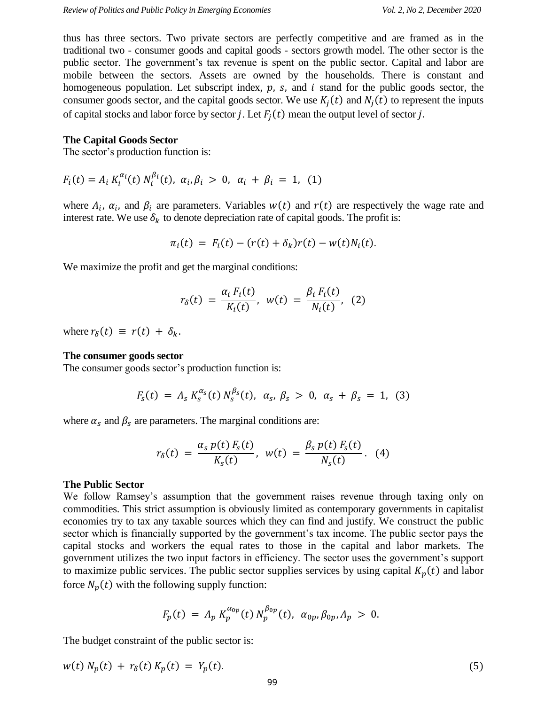thus has three sectors. Two private sectors are perfectly competitive and are framed as in the traditional two - consumer goods and capital goods - sectors growth model. The other sector is the public sector. The government"s tax revenue is spent on the public sector. Capital and labor are mobile between the sectors. Assets are owned by the households. There is constant and homogeneous population. Let subscript index,  $p$ ,  $s$ , and  $i$  stand for the public goods sector, the consumer goods sector, and the capital goods sector. We use  $K_i(t)$  and  $N_i(t)$  to represent the inputs of capital stocks and labor force by sector *j*. Let  $F_i(t)$  mean the output level of sector

## **The Capital Goods Sector**

The sector's production function is:

$$
F_i(t) = A_i K_i^{\alpha_i}(t) N_i^{\beta_i}(t), \ \alpha_i, \beta_i > 0, \ \alpha_i + \beta_i = 1, \ (1)
$$

where  $A_i$ ,  $\alpha_i$ , and  $\beta_i$  are parameters. Variables  $w(t)$  and  $r(t)$  are respectively the wage rate and interest rate. We use  $\delta_k$  to denote depreciation rate of capital goods. The profit is:

$$
\pi_i(t) = F_i(t) - (r(t) + \delta_k)r(t) - w(t)N_i(t).
$$

We maximize the profit and get the marginal conditions:

$$
r_{\delta}(t) = \frac{\alpha_i F_i(t)}{K_i(t)}, \ w(t) = \frac{\beta_i F_i(t)}{N_i(t)}, \ (2)
$$

where  $r_{\delta}(t) \equiv r(t) +$ 

## **The consumer goods sector**

The consumer goods sector's production function is:

$$
F_{S}(t) = A_{S} K_{S}^{\alpha_{S}}(t) N_{S}^{\beta_{S}}(t), \alpha_{S}, \beta_{S} > 0, \alpha_{S} + \beta_{S} = 1, (3)
$$

where  $\alpha_s$  and  $\beta_s$  are parameters. The marginal conditions are:

$$
r_{\delta}(t) = \frac{\alpha_{s} p(t) F_{s}(t)}{K_{s}(t)}, \ \ w(t) = \frac{\beta_{s} p(t) F_{s}(t)}{N_{s}(t)}.
$$
 (4)

## **The Public Sector**

We follow Ramsey's assumption that the government raises revenue through taxing only on commodities. This strict assumption is obviously limited as contemporary governments in capitalist economies try to tax any taxable sources which they can find and justify. We construct the public sector which is financially supported by the government's tax income. The public sector pays the capital stocks and workers the equal rates to those in the capital and labor markets. The government utilizes the two input factors in efficiency. The sector uses the government"s support to maximize public services. The public sector supplies services by using capital  $K_p(t)$  and labor force  $N_p(t)$  with the following supply function:

$$
F_p(t) = A_p K_p^{\alpha_{0p}}(t) N_p^{\beta_{0p}}(t), \alpha_{0p}, \beta_{0p}, A_p > 0.
$$

The budget constraint of the public sector is:

$$
w(t) N_p(t) + r_\delta(t) K_p(t) = Y_p(t).
$$
\n(5)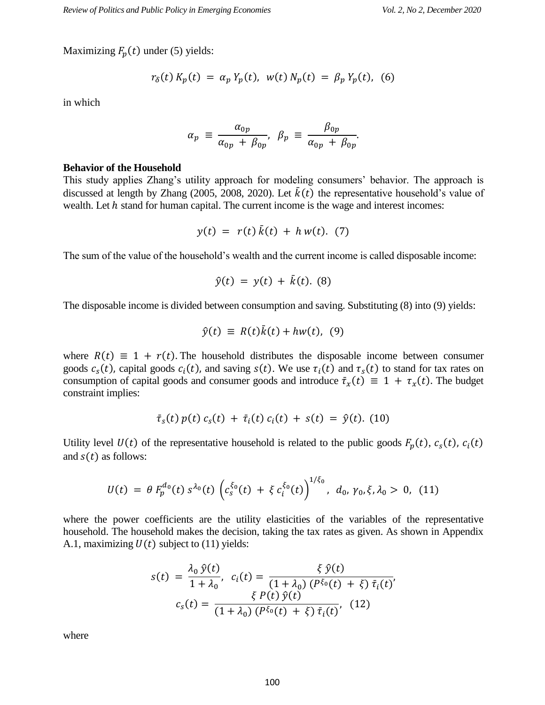Maximizing  $F_p(t)$  under (5) yields:

$$
r_{\delta}(t) K_p(t) = \alpha_p Y_p(t), \ \ w(t) N_p(t) = \beta_p Y_p(t), \ \ (6)
$$

in which

$$
\alpha_p \equiv \frac{\alpha_{0p}}{\alpha_{0p} + \beta_{0p}}, \ \beta_p \equiv \frac{\beta_{0p}}{\alpha_{0p} + \beta_{0p}}.
$$

#### **Behavior of the Household**

This study applies Zhang's utility approach for modeling consumers' behavior. The approach is discussed at length by Zhang (2005, 2008, 2020). Let  $\bar{k}(t)$  the representative household's value of wealth. Let  $h$  stand for human capital. The current income is the wage and interest incomes:

$$
y(t) = r(t)\,\bar{k}(t) + h\,w(t). \tag{7}
$$

The sum of the value of the household's wealth and the current income is called disposable income:

$$
\hat{y}(t) = y(t) + \bar{k}(t)
$$
. (8)

The disposable income is divided between consumption and saving. Substituting (8) into (9) yields:

$$
\hat{y}(t) \equiv R(t)\bar{k}(t) + hw(t), \quad (9)
$$

where  $R(t) \equiv 1 + r(t)$ . The household distributes the disposable income between consumer goods  $c_s(t)$ , capital goods  $c_i(t)$ , and saving  $s(t)$ . We use  $\tau_i(t)$  and  $\tau_s(t)$  to stand for tax rates on consumption of capital goods and consumer goods and introduce  $\bar{\tau}_x(t) \equiv 1 + \tau_x(t)$ . The budget constraint implies:

$$
\bar{\tau}_s(t) p(t) c_s(t) + \bar{\tau}_i(t) c_i(t) + s(t) = \hat{y}(t). (10)
$$

Utility level  $U(t)$  of the representative household is related to the public goods  $F_p(t)$ ,  $c_s(t)$ ,  $c_i(t)$ and  $s(t)$  as follows:

$$
U(t) = \theta F_p^{d_0}(t) s^{\lambda_0}(t) \left( c_s^{\xi_0}(t) + \xi c_i^{\xi_0}(t) \right)^{1/\xi_0}, d_0, \gamma_0, \xi, \lambda_0 > 0, (11)
$$

where the power coefficients are the utility elasticities of the variables of the representative household. The household makes the decision, taking the tax rates as given. As shown in Appendix A.1, maximizing  $U(t)$  subject to (11) yields:

$$
s(t) = \frac{\lambda_0 \hat{y}(t)}{1 + \lambda_0}, \quad c_i(t) = \frac{\xi \hat{y}(t)}{(1 + \lambda_0) (P^{\xi_0}(t) + \xi) \bar{\tau}_i(t)},
$$

$$
c_s(t) = \frac{\xi P(t) \hat{y}(t)}{(1 + \lambda_0) (P^{\xi_0}(t) + \xi) \bar{\tau}_i(t)}, \quad (12)
$$

where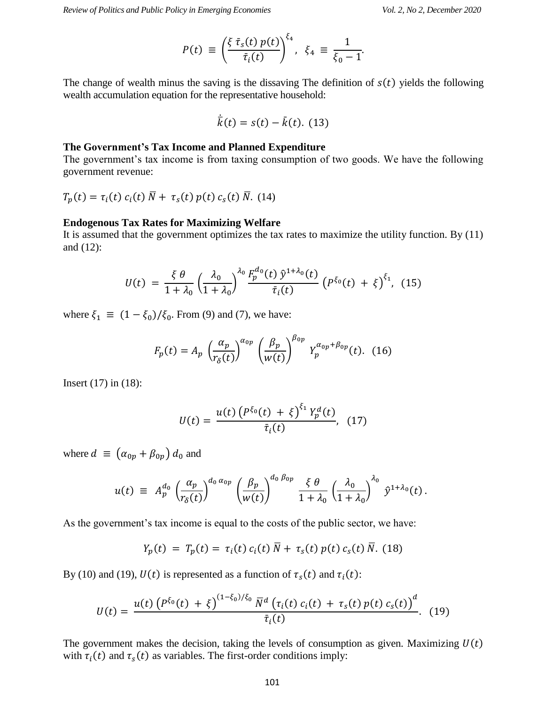$$
P(t) \equiv \left(\frac{\xi \bar{\tau}_s(t) p(t)}{\bar{\tau}_i(t)}\right)^{\xi_4}, \ \xi_4 \equiv \frac{1}{\xi_0 - 1}.
$$

The change of wealth minus the saving is the dissaving The definition of  $s(t)$  yields the following wealth accumulation equation for the representative household:

$$
\dot{\bar{k}}(t) = s(t) - \bar{k}(t). (13)
$$

### **The Government's Tax Income and Planned Expenditure**

The government's tax income is from taxing consumption of two goods. We have the following government revenue:

$$
T_p(t) = \tau_i(t) c_i(t) \overline{N} + \tau_s(t) p(t) c_s(t) \overline{N}.
$$
 (14)

## **Endogenous Tax Rates for Maximizing Welfare**

It is assumed that the government optimizes the tax rates to maximize the utility function. By (11) and (12):

$$
U(t) = \frac{\xi \theta}{1 + \lambda_0} \left(\frac{\lambda_0}{1 + \lambda_0}\right)^{\lambda_0} \frac{F_p^{d_0}(t) \hat{y}^{1 + \lambda_0}(t)}{\bar{\tau}_i(t)} \left(P^{\xi_0}(t) + \xi\right)^{\xi_1}, (15)
$$

where  $\xi_1 \equiv (1 - \xi_0)/\xi_0$ . From (9) and (7), we have:

$$
F_p(t) = A_p \left(\frac{\alpha_p}{r_\delta(t)}\right)^{\alpha_{0p}} \left(\frac{\beta_p}{w(t)}\right)^{\beta_{0p}} Y_p^{\alpha_{0p} + \beta_{0p}}(t). \tag{16}
$$

Insert (17) in (18):

$$
U(t) = \frac{u(t) (P^{\xi_0}(t) + \xi)^{\xi_1} Y_p^d(t)}{\bar{\tau}_i(t)}, \quad (17)
$$

where  $d \equiv (\alpha_{0p} + \beta_{0p}) d_0$  and

$$
u(t) \equiv A_p^{d_0} \left(\frac{\alpha_p}{r_\delta(t)}\right)^{d_0 \alpha_{0p}} \left(\frac{\beta_p}{w(t)}\right)^{d_0 \beta_{0p}} \frac{\xi \theta}{1 + \lambda_0} \left(\frac{\lambda_0}{1 + \lambda_0}\right)^{\lambda_0} \hat{y}^{1 + \lambda_0}(t).
$$

As the government's tax income is equal to the costs of the public sector, we have:

$$
Y_p(t) = T_p(t) = \tau_i(t) c_i(t) \bar{N} + \tau_s(t) p(t) c_s(t) \bar{N}.
$$
 (18)

By (10) and (19),  $U(t)$  is represented as a function of  $\tau_s(t)$  and  $\tau_i(t)$ :

$$
U(t) = \frac{u(t) \left( P^{\xi_0}(t) + \xi \right)^{(1-\xi_0)/\xi_0} \bar{N}^d \left( \tau_i(t) \, c_i(t) + \tau_s(t) \, p(t) \, c_s(t) \right)^d}{\bar{\tau}_i(t)}.
$$
 (19)

The government makes the decision, taking the levels of consumption as given. Maximizing  $U(t)$ with  $\tau_i(t)$  and  $\tau_s(t)$  as variables. The first-order conditions imply: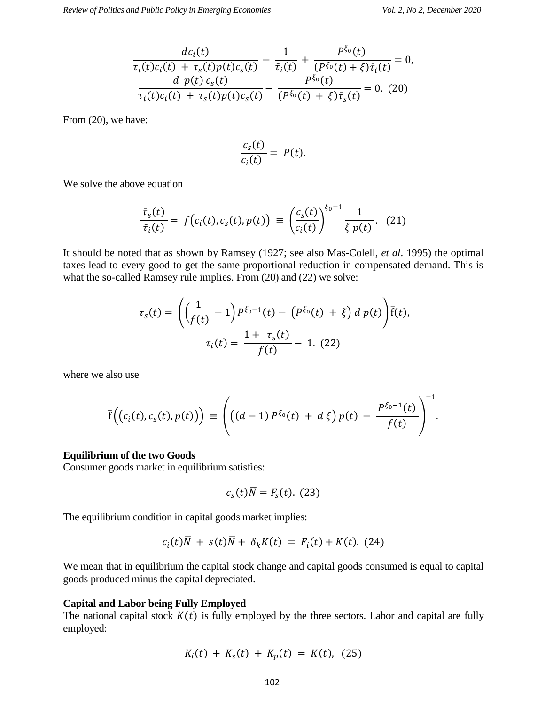$$
\frac{dc_i(t)}{\tau_i(t)c_i(t) + \tau_s(t)p(t)c_s(t)} - \frac{1}{\bar{\tau}_i(t)} + \frac{p^{\xi_0}(t)}{(P^{\xi_0}(t) + \xi)\bar{\tau}_i(t)} = 0,
$$
\n
$$
\frac{d p(t) c_s(t)}{\tau_i(t)c_i(t) + \tau_s(t)p(t)c_s(t)} - \frac{p^{\xi_0}(t)}{(P^{\xi_0}(t) + \xi)\bar{\tau}_s(t)} = 0.
$$
\n(20)

From (20), we have:

$$
\frac{c_s(t)}{c_i(t)} = P(t).
$$

We solve the above equation

$$
\frac{\bar{\tau}_s(t)}{\bar{\tau}_i(t)} = f\big(c_i(t), c_s(t), p(t)\big) \equiv \left(\frac{c_s(t)}{c_i(t)}\right)^{\xi_0 - 1} \frac{1}{\xi p(t)}.\tag{21}
$$

It should be noted that as shown by Ramsey (1927; see also Mas-Colell, *et al*. 1995) the optimal taxes lead to every good to get the same proportional reduction in compensated demand. This is what the so-called Ramsey rule implies. From (20) and (22) we solve:

$$
\tau_s(t) = \left( \left( \frac{1}{f(t)} - 1 \right) P^{\xi_0 - 1}(t) - \left( P^{\xi_0}(t) + \xi \right) d p(t) \right) \overline{f}(t),
$$

$$
\tau_i(t) = \frac{1 + \tau_s(t)}{f(t)} - 1. \quad (22)
$$

where we also use

$$
\bar{f}\Big(\big(c_i(t), c_s(t), p(t)\big)\Big) \equiv \left(\big((d-1)\,P^{\xi_0}(t) \,+\, d\,\xi\big)\,p(t) \,-\, \frac{P^{\xi_0-1}(t)}{f(t)}\right)^{-1}.
$$

#### **Equilibrium of the two Goods**

Consumer goods market in equilibrium satisfies:

$$
c_s(t)\overline{N}=F_s(t). (23)
$$

The equilibrium condition in capital goods market implies:

$$
c_i(t)\overline{N} + s(t)\overline{N} + \delta_k K(t) = F_i(t) + K(t). (24)
$$

We mean that in equilibrium the capital stock change and capital goods consumed is equal to capital goods produced minus the capital depreciated.

#### **Capital and Labor being Fully Employed**

The national capital stock  $K(t)$  is fully employed by the three sectors. Labor and capital are fully employed:

$$
K_i(t) + K_s(t) + K_p(t) = K(t), \quad (25)
$$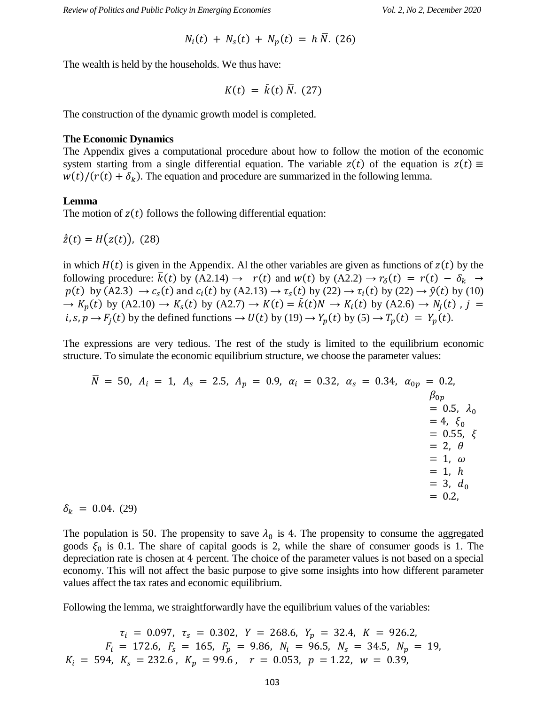$$
N_i(t) + N_s(t) + N_p(t) = h \, \bar{N}.
$$
 (26)

The wealth is held by the households. We thus have:

$$
K(t) = \bar{k}(t) \bar{N}.
$$
 (27)

The construction of the dynamic growth model is completed.

## **The Economic Dynamics**

The Appendix gives a computational procedure about how to follow the motion of the economic system starting from a single differential equation. The variable  $z(t)$  of the equation is  $z(t) \equiv$  $w(t)/(r(t) + \delta_k)$ . The equation and procedure are summarized in the following lemma.

## **Lemma**

The motion of  $z(t)$  follows the following differential equation:

$$
\dot{\bar{z}}(t) = H(z(t)), \ (28)
$$

in which  $H(t)$  is given in the Appendix. Al the other variables are given as functions of  $z(t)$  by the following procedure:  $\bar{k}(t)$  by (A2.14)  $\rightarrow$   $r(t)$  and  $w(t)$  by (A2.2)  $\rightarrow r_{\delta}(t) = r(t)$  –  $p(t)$  by (A2.3)  $\rightarrow c_s(t)$  and  $c_i(t)$  by (A2.13)  $\rightarrow \tau_s(t)$  by (22)  $\rightarrow \tau_i(t)$  by (22)  $\rightarrow \hat{y}(t)$  by (10)  $\rightarrow K_p(t)$  by (A2.10)  $\rightarrow K_s(t)$  by (A2.7)  $\rightarrow K(t) = \bar{k}(t)N \rightarrow K_i(t)$  by (A2.6)  $\rightarrow N_i(t)$ ,  $i, s, p \rightarrow F_i(t)$  by the defined functions  $\rightarrow U(t)$  by (19)  $\rightarrow Y_p(t)$  by (5)  $\rightarrow T_p(t) = Y_p(t)$ .

The expressions are very tedious. The rest of the study is limited to the equilibrium economic structure. To simulate the economic equilibrium structure, we choose the parameter values:

$$
\overline{N} = 50, A_i = 1, A_s = 2.5, A_p = 0.9, \alpha_i = 0.32, \alpha_s = 0.34, \alpha_{0p} = 0.2, \beta_{0p} = 0.5, \lambda_0 = 4, \xi_0 = 2, \theta = 1, \omega = 1, h = 3, d_0 = 0.2,
$$
\n(8)

 $\delta_k = 0.04$ . (29)

The population is 50. The propensity to save  $\lambda_0$  is 4. The propensity to consume the aggregated goods  $\xi_0$  is 0.1. The share of capital goods is 2, while the share of consumer goods is 1. The depreciation rate is chosen at 4 percent. The choice of the parameter values is not based on a special economy. This will not affect the basic purpose to give some insights into how different parameter values affect the tax rates and economic equilibrium.

Following the lemma, we straightforwardly have the equilibrium values of the variables:

$$
\tau_i = 0.097, \ \tau_s = 0.302, \ Y = 268.6, \ Y_p = 32.4, \ K = 926.2,
$$
\n
$$
F_i = 172.6, \ F_s = 165, \ F_p = 9.86, \ N_i = 96.5, \ N_s = 34.5, \ N_p = 19,
$$
\n
$$
K_i = 594, \ K_s = 232.6, \ K_p = 99.6, \ r = 0.053, \ p = 1.22, \ w = 0.39,
$$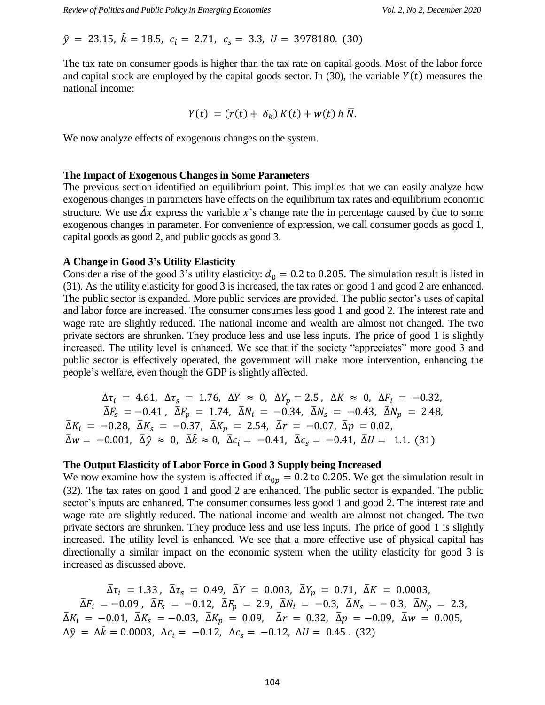$\hat{v}$  = 23.15,  $\bar{k}$  = 18.5,  $c_i$  = 2.71,  $c_s$  = 3.3,  $U$  = 3978180. (30)

The tax rate on consumer goods is higher than the tax rate on capital goods. Most of the labor force and capital stock are employed by the capital goods sector. In (30), the variable  $Y(t)$  measures the national income:

$$
Y(t) = (r(t) + \delta_k) K(t) + w(t) h \overline{N}.
$$

We now analyze effects of exogenous changes on the system.

#### **The Impact of Exogenous Changes in Some Parameters**

The previous section identified an equilibrium point. This implies that we can easily analyze how exogenous changes in parameters have effects on the equilibrium tax rates and equilibrium economic structure. We use  $\Delta x$  express the variable x's change rate the in percentage caused by due to some exogenous changes in parameter. For convenience of expression, we call consumer goods as good 1, capital goods as good 2, and public goods as good 3.

#### **A Change in Good 3's Utility Elasticity**

Consider a rise of the good 3's utility elasticity:  $d_0 = 0.2$  to 0.205. The simulation result is listed in (31). As the utility elasticity for good 3 is increased, the tax rates on good 1 and good 2 are enhanced. The public sector is expanded. More public services are provided. The public sector's uses of capital and labor force are increased. The consumer consumes less good 1 and good 2. The interest rate and wage rate are slightly reduced. The national income and wealth are almost not changed. The two private sectors are shrunken. They produce less and use less inputs. The price of good 1 is slightly increased. The utility level is enhanced. We see that if the society "appreciates" more good 3 and public sector is effectively operated, the government will make more intervention, enhancing the people"s welfare, even though the GDP is slightly affected.

 $\overline{\Delta}\tau_i$  = 4.61,  $\overline{\Delta}\tau_s$  = 1.76,  $\overline{\Delta}Y \approx 0$ ,  $\overline{\Delta}Y_p$  = 2.5,  $\overline{\Delta}K \approx 0$ ,  $\overline{\Delta}F_i$  = -0.32,  $\bar{\Delta}F_s = -0.41$ ,  $\bar{\Delta}F_p = 1.74$ ,  $\bar{\Delta}N_i = -0.34$ ,  $\bar{\Delta}N_s = -0.43$ ,  $\bar{\Delta}N_p = 2.48$ ,  $\bar{\Delta}K_i$  = -0.28,  $\bar{\Delta}K_s$  = -0.37,  $\bar{\Delta}K_p$  = 2.54,  $\bar{\Delta}r$  = -0.07,  $\bar{\Delta}p$  = 0.02,  $\bar{\Delta}w = -0.001$ ,  $\bar{\Delta}\hat{y} \approx 0$ ,  $\bar{\Delta}\bar{k} \approx 0$ ,  $\bar{\Delta}c_i = -0.41$ ,  $\bar{\Delta}c_s = -0.41$ ,  $\bar{\Delta}U = 1.1$ . (31)

#### **The Output Elasticity of Labor Force in Good 3 Supply being Increased**

We now examine how the system is affected if  $\alpha_{0p} = 0.2$  to 0.205. We get the simulation result in (32). The tax rates on good 1 and good 2 are enhanced. The public sector is expanded. The public sector's inputs are enhanced. The consumer consumes less good 1 and good 2. The interest rate and wage rate are slightly reduced. The national income and wealth are almost not changed. The two private sectors are shrunken. They produce less and use less inputs. The price of good 1 is slightly increased. The utility level is enhanced. We see that a more effective use of physical capital has directionally a similar impact on the economic system when the utility elasticity for good 3 is increased as discussed above.

 $\bar{\Delta}\tau_i$  = 1.33,  $\bar{\Delta}\tau_s$  = 0.49,  $\bar{\Delta}Y$  = 0.003,  $\bar{\Delta}Y_p$  = 0.71,  $\bar{\Delta}K$  = 0.0003,  $\bar{\Delta}F_i = -0.09$ ,  $\bar{\Delta}F_s = -0.12$ ,  $\bar{\Delta}F_p = 2.9$ ,  $\bar{\Delta}N_i = -0.3$ ,  $\bar{\Delta}N_s = -0.3$ ,  $\bar{\Delta}N_p = 2.3$ ,  $\bar{\Delta}K_i$  = -0.01,  $\bar{\Delta}K_s$  = -0.03,  $\bar{\Delta}K_p$  = 0.09,  $\bar{\Delta}r$  = 0.32,  $\bar{\Delta}p$  = -0.09,  $\bar{\Delta}w$  = 0.005,  $\overline{\Delta} \hat{y} = \overline{\Delta} \overline{k} = 0.0003$ ,  $\overline{\Delta} c_i = -0.12$ ,  $\overline{\Delta} c_s = -0.12$ ,  $\overline{\Delta} U = 0.45$ . (32)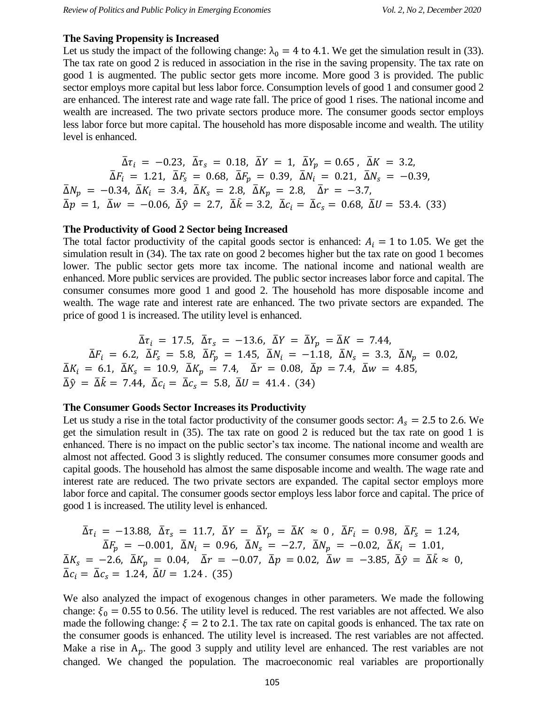## **The Saving Propensity is Increased**

Let us study the impact of the following change:  $\lambda_0 = 4$  to 4.1. We get the simulation result in (33). The tax rate on good 2 is reduced in association in the rise in the saving propensity. The tax rate on good 1 is augmented. The public sector gets more income. More good 3 is provided. The public sector employs more capital but less labor force. Consumption levels of good 1 and consumer good 2 are enhanced. The interest rate and wage rate fall. The price of good 1 rises. The national income and wealth are increased. The two private sectors produce more. The consumer goods sector employs less labor force but more capital. The household has more disposable income and wealth. The utility level is enhanced.

$$
\bar{\Delta}\tau_i = -0.23, \ \bar{\Delta}\tau_s = 0.18, \ \bar{\Delta}Y = 1, \ \bar{\Delta}Y_p = 0.65, \ \bar{\Delta}K = 3.2, \n\bar{\Delta}F_i = 1.21, \ \bar{\Delta}F_s = 0.68, \ \bar{\Delta}F_p = 0.39, \ \bar{\Delta}N_i = 0.21, \ \bar{\Delta}N_s = -0.39, \n\bar{\Delta}N_p = -0.34, \ \bar{\Delta}K_i = 3.4, \ \bar{\Delta}K_s = 2.8, \ \bar{\Delta}K_p = 2.8, \ \bar{\Delta}r = -3.7, \n\bar{\Delta}p = 1, \ \bar{\Delta}w = -0.06, \ \bar{\Delta}\hat{y} = 2.7, \ \bar{\Delta}\bar{k} = 3.2, \ \bar{\Delta}c_i = \bar{\Delta}c_s = 0.68, \ \bar{\Delta}U = 53.4. \ (33)
$$

## **The Productivity of Good 2 Sector being Increased**

The total factor productivity of the capital goods sector is enhanced:  $A_i = 1$  to 1.05. We get the simulation result in (34). The tax rate on good 2 becomes higher but the tax rate on good 1 becomes lower. The public sector gets more tax income. The national income and national wealth are enhanced. More public services are provided. The public sector increases labor force and capital. The consumer consumes more good 1 and good 2. The household has more disposable income and wealth. The wage rate and interest rate are enhanced. The two private sectors are expanded. The price of good 1 is increased. The utility level is enhanced.

$$
\bar{\Delta}\tau_i = 17.5, \ \bar{\Delta}\tau_s = -13.6, \ \bar{\Delta}Y = \bar{\Delta}Y_p = \bar{\Delta}K = 7.44, \n\bar{\Delta}F_i = 6.2, \ \bar{\Delta}F_s = 5.8, \ \bar{\Delta}F_p = 1.45, \ \bar{\Delta}N_i = -1.18, \ \bar{\Delta}N_s = 3.3, \ \bar{\Delta}N_p = 0.02, \n\bar{\Delta}K_i = 6.1, \ \bar{\Delta}K_s = 10.9, \ \bar{\Delta}K_p = 7.4, \ \bar{\Delta}r = 0.08, \ \bar{\Delta}p = 7.4, \ \bar{\Delta}w = 4.85, \n\bar{\Delta}\hat{y} = \bar{\Delta}\bar{k} = 7.44, \ \bar{\Delta}c_i = \bar{\Delta}c_s = 5.8, \ \bar{\Delta}U = 41.4. (34)
$$

## **The Consumer Goods Sector Increases its Productivity**

Let us study a rise in the total factor productivity of the consumer goods sector:  $A_s = 2.5$  to 2.6. We get the simulation result in (35). The tax rate on good 2 is reduced but the tax rate on good 1 is enhanced. There is no impact on the public sector's tax income. The national income and wealth are almost not affected. Good 3 is slightly reduced. The consumer consumes more consumer goods and capital goods. The household has almost the same disposable income and wealth. The wage rate and interest rate are reduced. The two private sectors are expanded. The capital sector employs more labor force and capital. The consumer goods sector employs less labor force and capital. The price of good 1 is increased. The utility level is enhanced.

$$
\bar{\Delta}\tau_i = -13.88, \ \bar{\Delta}\tau_s = 11.7, \ \bar{\Delta}Y = \bar{\Delta}Y_p = \bar{\Delta}K \approx 0, \ \bar{\Delta}F_i = 0.98, \ \bar{\Delta}F_s = 1.24, \n\bar{\Delta}F_p = -0.001, \ \bar{\Delta}N_i = 0.96, \ \bar{\Delta}N_s = -2.7, \ \bar{\Delta}N_p = -0.02, \ \bar{\Delta}K_i = 1.01, \n\bar{\Delta}K_s = -2.6, \ \bar{\Delta}K_p = 0.04, \ \bar{\Delta}r = -0.07, \ \bar{\Delta}p = 0.02, \ \bar{\Delta}w = -3.85, \ \bar{\Delta}\hat{y} = \bar{\Delta}\bar{k} \approx 0, \n\bar{\Delta}c_i = \bar{\Delta}c_s = 1.24, \ \bar{\Delta}U = 1.24.
$$
 (35)

We also analyzed the impact of exogenous changes in other parameters. We made the following change:  $\xi_0 = 0.55$  to 0.56. The utility level is reduced. The rest variables are not affected. We also made the following change:  $\xi = 2$  to 2.1. The tax rate on capital goods is enhanced. The tax rate on the consumer goods is enhanced. The utility level is increased. The rest variables are not affected. Make a rise in  $A_n$ . The good 3 supply and utility level are enhanced. The rest variables are not changed. We changed the population. The macroeconomic real variables are proportionally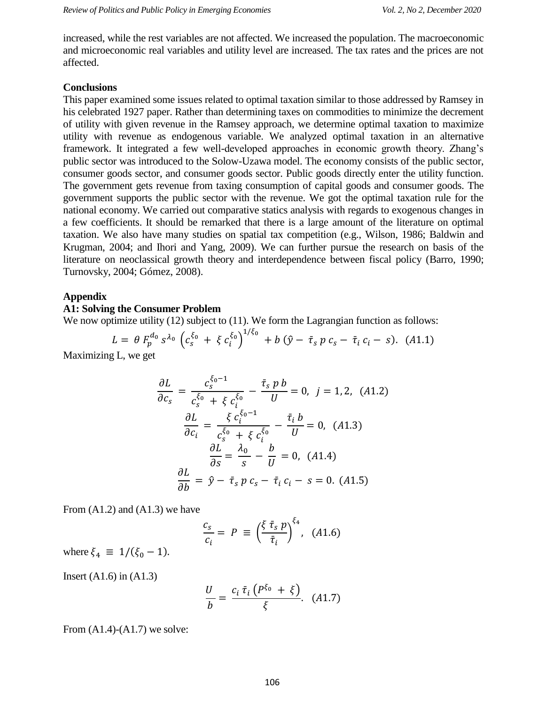increased, while the rest variables are not affected. We increased the population. The macroeconomic and microeconomic real variables and utility level are increased. The tax rates and the prices are not affected.

#### **Conclusions**

This paper examined some issues related to optimal taxation similar to those addressed by Ramsey in his celebrated 1927 paper. Rather than determining taxes on commodities to minimize the decrement of utility with given revenue in the Ramsey approach, we determine optimal taxation to maximize utility with revenue as endogenous variable. We analyzed optimal taxation in an alternative framework. It integrated a few well-developed approaches in economic growth theory. Zhang"s public sector was introduced to the Solow-Uzawa model. The economy consists of the public sector, consumer goods sector, and consumer goods sector. Public goods directly enter the utility function. The government gets revenue from taxing consumption of capital goods and consumer goods. The government supports the public sector with the revenue. We got the optimal taxation rule for the national economy. We carried out comparative statics analysis with regards to exogenous changes in a few coefficients. It should be remarked that there is a large amount of the literature on optimal taxation. We also have many studies on spatial tax competition (e.g., Wilson, 1986; Baldwin and Krugman, 2004; and Ihori and Yang, 2009). We can further pursue the research on basis of the literature on neoclassical growth theory and interdependence between fiscal policy (Barro, 1990; Turnovsky, 2004; Gómez, 2008).

#### **Appendix**

## **A1: Solving the Consumer Problem**

We now optimize utility (12) subject to (11). We form the Lagrangian function as follows:

$$
L = \theta F_p^{d_0} s^{\lambda_0} \left( c_s^{\xi_0} + \xi c_i^{\xi_0} \right)^{1/\xi_0} + b \left( \hat{y} - \bar{\tau}_s p c_s - \bar{\tau}_i c_i - s \right). \tag{A1.1}
$$

Maximizing L, we get

$$
\frac{\partial L}{\partial c_s} = \frac{c_s^{\xi_0 - 1}}{c_s^{\xi_0} + \xi c_i^{\xi_0}} - \frac{\bar{\tau}_s p b}{U} = 0, \ j = 1, 2, (A1.2)
$$

$$
\frac{\partial L}{\partial c_i} = \frac{\xi c_i^{\xi_0 - 1}}{c_s^{\xi_0} + \xi c_i^{\xi_0}} - \frac{\bar{\tau}_i b}{U} = 0, (A1.3)
$$

$$
\frac{\partial L}{\partial s} = \frac{\lambda_0}{s} - \frac{b}{U} = 0, (A1.4)
$$

$$
\frac{\partial L}{\partial b} = \hat{y} - \bar{\tau}_s p c_s - \bar{\tau}_i c_i - s = 0. (A1.5)
$$

From (A1.2) and (A1.3) we have

$$
\frac{c_s}{c_i} = P \equiv \left(\frac{\xi \bar{\tau}_s p}{\bar{\tau}_i}\right)^{\xi_4}, \quad (A1.6)
$$

where  $\xi_4 \equiv 1/(\xi_0 - 1)$ .

Insert  $(A1.6)$  in  $(A1.3)$ 

$$
\frac{U}{b} = \frac{c_i \,\bar{\tau}_i \left( P^{\xi_0} + \xi \right)}{\xi}.
$$
 (A1.7)

From  $(A1.4)$ - $(A1.7)$  we solve: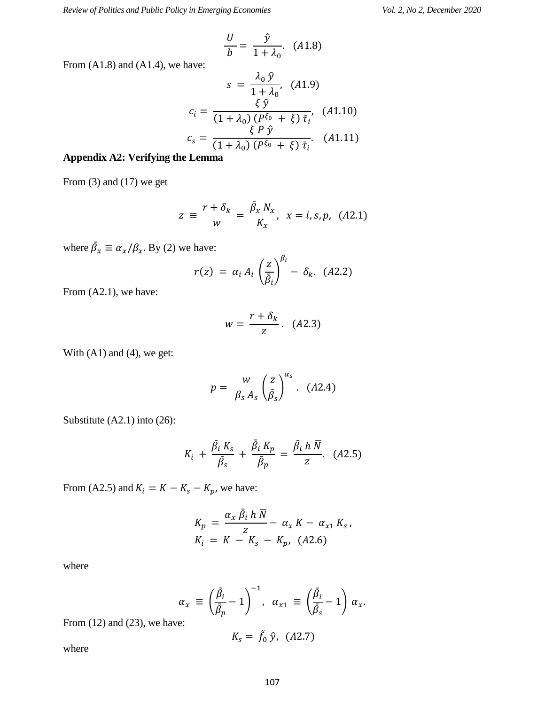$$
\frac{U}{b} = \frac{\hat{y}}{1 + \lambda_0}.
$$
 (A1.8)

From (A1.8) and (A1.4), we have:

$$
s = \frac{\lambda_0 \hat{y}}{1 + \lambda_0}, \quad (A1.9)
$$

$$
c_i = \frac{\xi \hat{y}}{(1 + \lambda_0) (P^{\xi_0} + \xi) \bar{\tau}_i}, \quad (A1.10)
$$

$$
c_s = \frac{\xi P \hat{y}}{(1 + \lambda_0) (P^{\xi_0} + \xi) \bar{\tau}_i}. \quad (A1.11)
$$

## **Appendix A2: Verifying the Lemma**

From (3) and (17) we get

$$
z \equiv \frac{r + \delta_k}{w} = \frac{\bar{\beta}_x N_x}{K_x}, \ x = i, s, p, \ (A2.1)
$$

where  $\bar{\beta}_x \equiv \alpha_x/\beta_x$ . By (2) we have:

$$
r(z) = \alpha_i A_i \left(\frac{z}{\bar{\beta}_i}\right)^{\beta_i} - \delta_k. \quad (A2.2)
$$

From (A2.1), we have:

$$
w = \frac{r + \delta_k}{z} \quad (A2.3)
$$

With (A1) and (4), we get:

$$
p = \frac{w}{\beta_s A_s} \left(\frac{z}{\bar{\beta}_s}\right)^{\alpha_s} .
$$
 (A2.4)

Substitute (A2.1) into (26):

$$
K_i + \frac{\bar{\beta}_i K_s}{\bar{\beta}_s} + \frac{\bar{\beta}_i K_p}{\bar{\beta}_p} = \frac{\bar{\beta}_i h \bar{N}}{z}.
$$
 (A2.5)

From (A2.5) and  $K_i = K - K_s - K_p$ , we have:

$$
K_p = \frac{\alpha_x \bar{\beta_i} h \bar{N}}{z} - \alpha_x K - \alpha_{x1} K_s,
$$
  

$$
K_i = K - K_s - K_p, \quad (A2.6)
$$

where

$$
\alpha_x \equiv \left(\frac{\bar{\beta}_i}{\bar{\beta}_p} - 1\right)^{-1}, \quad \alpha_{x1} \equiv \left(\frac{\bar{\beta}_i}{\bar{\beta}_s} - 1\right) \alpha_x.
$$

From  $(12)$  and  $(23)$ , we have:

$$
K_s = \tilde{f}_0 \hat{y}, \quad (A2.7)
$$

where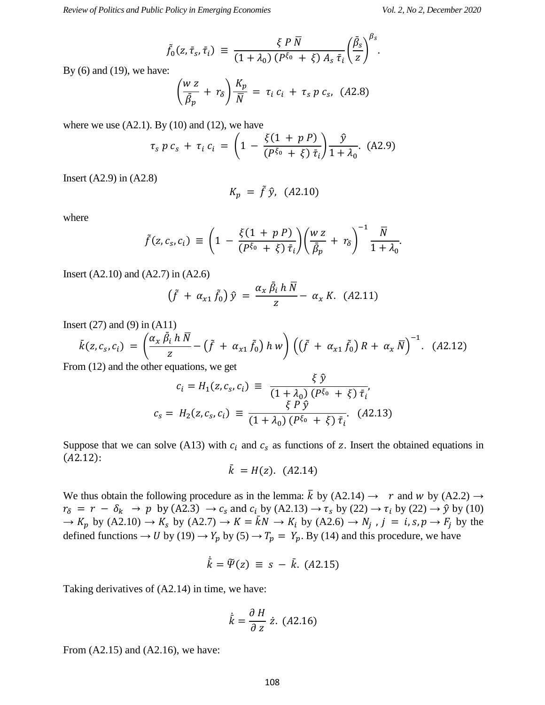$$
\tilde{f}_0(z, \bar{\tau}_s, \bar{\tau}_i) \equiv \frac{\xi P \, \bar{N}}{(1 + \lambda_0) \left( P^{\xi_0} + \xi \right) A_s \, \bar{\tau}_i} \left( \frac{\bar{\beta}_s}{z} \right)^{\beta_s}.
$$

By  $(6)$  and  $(19)$ , we have:

$$
\left(\frac{w z}{\overline{\beta}_p} + r_\delta\right) \frac{K_p}{\overline{N}} = \tau_i c_i + \tau_s p c_s, \quad (A2.8)
$$

where we use  $(A2.1)$ . By  $(10)$  and  $(12)$ , we have

$$
\tau_s \, p \, c_s + \tau_i \, c_i \, = \left( 1 \, - \, \frac{\xi (1 + p \, P)}{\left( P^{\xi_0} + \xi \right) \, \bar{\tau}_i} \right) \frac{\hat{y}}{1 + \lambda_0} . \tag{A2.9}
$$

Insert (A2.9) in (A2.8)

$$
K_p = \tilde{f} \hat{y}, \quad (A2.10)
$$

where

$$
\tilde{f}(z,c_s,c_i) \equiv \left(1 - \frac{\xi(1+p P)}{(P^{\xi_0} + \xi) \bar{\tau}_i}\right) \left(\frac{w z}{\bar{\beta}_p} + r_\delta\right)^{-1} \frac{\bar{N}}{1 + \lambda_0}.
$$

Insert (A2.10) and (A2.7) in (A2.6)

$$
(\tilde{f} + \alpha_{x1} \tilde{f}_0) \hat{y} = \frac{\alpha_x \bar{\beta_i} h \bar{N}}{z} - \alpha_x K. \quad (A2.11)
$$

Insert (27) and (9) in (A11)

$$
\bar{k}(z, c_s, c_i) = \left(\frac{\alpha_x \,\bar{\beta}_i \, h \, \bar{N}}{z} - (\tilde{f} + \alpha_{x1} \, \tilde{f}_0) \, h \, w\right) \left((\tilde{f} + \alpha_{x1} \, \tilde{f}_0) \, R + \alpha_x \, \bar{N}\right)^{-1}.\tag{A2.12}
$$
\nFrom (12) and the other equations, we get

From (12) and the other equations, we get

$$
c_i = H_1(z, c_s, c_i) \equiv \frac{\xi \hat{y}}{(1 + \lambda_0) (P^{\xi_0} + \xi) \bar{\tau}_i},
$$
  

$$
c_s = H_2(z, c_s, c_i) \equiv \frac{\xi P \hat{y}}{(1 + \lambda_0) (P^{\xi_0} + \xi) \bar{\tau}_i}.
$$
 (A2.13)

Suppose that we can solve (A13) with  $c_i$  and  $c_s$  as functions of z. Insert the obtained equations in  $(A2.12):$ 

$$
\bar{k} = H(z). \quad (A2.14)
$$

We thus obtain the following procedure as in the lemma:  $\bar{k}$  by (A2.14)  $\rightarrow$  r and w by (A2.2)  $\rightarrow$  $r_{\delta} = r - \delta_k \rightarrow p$  by (A2.3)  $\rightarrow c_s$  and  $c_i$  by (A2.13)  $\rightarrow \tau_s$  by (22)  $\rightarrow \tau_i$  by (22)  $\rightarrow \hat{y}$  by (10)  $\rightarrow K_p$  by (A2.10)  $\rightarrow K_s$  by (A2.7)  $\rightarrow K = \overline{k}N \rightarrow K_i$  by (A2.6)  $\rightarrow N_i$ ,  $j = i, s, p \rightarrow F_i$  by the defined functions  $\rightarrow U$  by (19)  $\rightarrow Y_p$  by (5)  $\rightarrow T_p = Y_p$ . By (14) and this procedure, we have

$$
\dot{\bar{k}} = \tilde{\Psi}(z) \equiv s - \bar{k}. (A2.15)
$$

Taking derivatives of (A2.14) in time, we have:

$$
\dot{\bar{k}} = \frac{\partial H}{\partial z} \dot{z}.
$$
 (A2.16)

From (A2.15) and (A2.16), we have: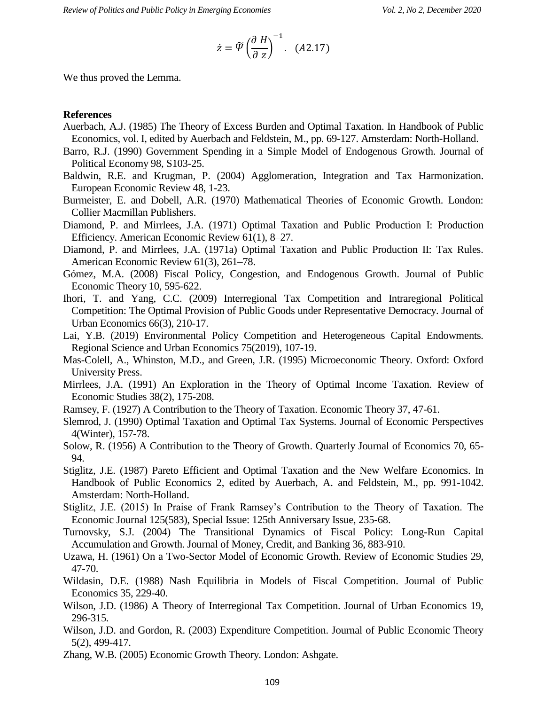$$
\dot{z} = \tilde{\Psi} \left( \frac{\partial H}{\partial z} \right)^{-1} .
$$
 (A2.17)

We thus proved the Lemma.

#### **References**

- Auerbach, A.J. (1985) The Theory of Excess Burden and Optimal Taxation. In Handbook of Public Economics, vol. I, edited by Auerbach and Feldstein, M., pp. 69-127. Amsterdam: North-Holland.
- Barro, R.J. (1990) Government Spending in a Simple Model of Endogenous Growth. Journal of Political Economy 98, S103-25.
- Baldwin, R.E. and Krugman, P. (2004) Agglomeration, Integration and Tax Harmonization. European Economic Review 48, 1-23.
- Burmeister, E. and Dobell, A.R. (1970) Mathematical Theories of Economic Growth. London: Collier Macmillan Publishers.
- Diamond, P. and Mirrlees, J.A. (1971) Optimal Taxation and Public Production I: Production Efficiency. American Economic Review 61(1), 8–27.
- Diamond, P. and Mirrlees, J.A. (1971a) Optimal Taxation and Public Production II: Tax Rules. American Economic Review 61(3), 261–78.
- Gómez, M.A. (2008) Fiscal Policy, Congestion, and Endogenous Growth. Journal of Public Economic Theory 10, 595-622.
- Ihori, T. and Yang, C.C. (2009) Interregional Tax Competition and Intraregional Political Competition: The Optimal Provision of Public Goods under Representative Democracy. Journal of Urban Economics 66(3), 210-17.
- Lai, Y.B. (2019) Environmental Policy Competition and Heterogeneous Capital Endowments. Regional Science and Urban Economics 75(2019), 107-19.
- Mas-Colell, A., Whinston, M.D., and Green, J.R. (1995) Microeconomic Theory. Oxford: Oxford University Press.
- Mirrlees, J.A. (1991) An Exploration in the Theory of Optimal Income Taxation. Review of Economic Studies 38(2), 175-208.
- Ramsey, F. (1927) A Contribution to the Theory of Taxation. Economic Theory 37, 47-61.
- Slemrod, J. (1990) Optimal Taxation and Optimal Tax Systems. Journal of Economic Perspectives 4(Winter), 157-78.
- Solow, R. (1956) A Contribution to the Theory of Growth. Quarterly Journal of Economics 70, 65- 94.
- Stiglitz, J.E. (1987) Pareto Efficient and Optimal Taxation and the New Welfare Economics. In Handbook of Public Economics 2, edited by Auerbach, A. and Feldstein, M., pp. 991-1042. Amsterdam: North-Holland.
- Stiglitz, J.E. (2015) In Praise of Frank Ramsey"s Contribution to the Theory of Taxation. The Economic Journal 125(583), Special Issue: 125th Anniversary Issue, 235-68.
- Turnovsky, S.J. (2004) The Transitional Dynamics of Fiscal Policy: Long-Run Capital Accumulation and Growth. Journal of Money, Credit, and Banking 36, 883-910.
- Uzawa, H. (1961) On a Two-Sector Model of Economic Growth. Review of Economic Studies 29, 47-70.
- Wildasin, D.E. (1988) Nash Equilibria in Models of Fiscal Competition. Journal of Public Economics 35, 229-40.
- Wilson, J.D. (1986) A Theory of Interregional Tax Competition. Journal of Urban Economics 19, 296-315.
- Wilson, J.D. and Gordon, R. (2003) Expenditure Competition. Journal of Public Economic Theory 5(2), 499-417.
- Zhang, W.B. (2005) Economic Growth Theory. London: Ashgate.